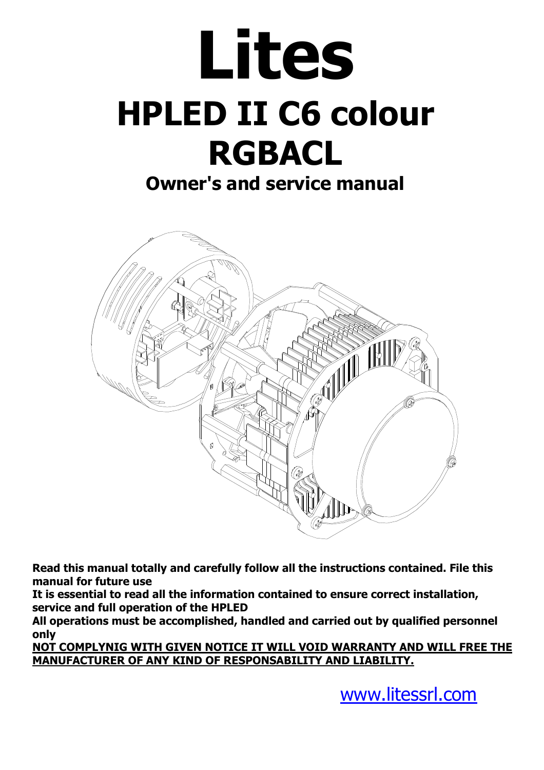# **Lites HPLED II C6 colour RGBACL**

# **Owner's and service manual**



**Read this manual totally and carefully follow all the instructions contained. File this manual for future use** 

**It is essential to read all the information contained to ensure correct installation, service and full operation of the HPLED** 

**All operations must be accomplished, handled and carried out by qualified personnel only** 

**NOT COMPLYNIG WITH GIVEN NOTICE IT WILL VOID WARRANTY AND WILL FREE THE MANUFACTURER OF ANY KIND OF RESPONSABILITY AND LIABILITY.** 

www.litessrl.com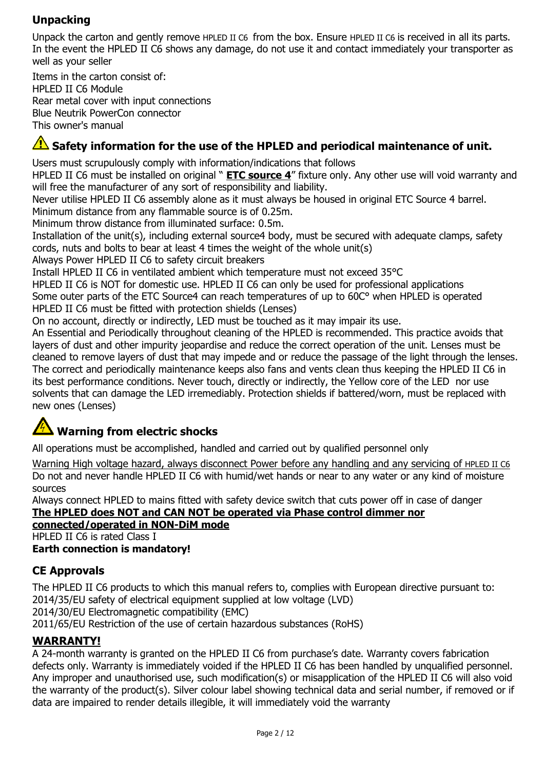# **Unpacking**

Unpack the carton and gently remove HPLED II C6 from the box. Ensure HPLED II C6 is received in all its parts. In the event the HPLED II C6 shows any damage, do not use it and contact immediately your transporter as well as your seller

Items in the carton consist of: HPLED II C6 Module Rear metal cover with input connections Blue Neutrik PowerCon connector This owner's manual

# **A** Safety information for the use of the HPLED and periodical maintenance of unit.

Users must scrupulously comply with information/indications that follows

HPLED II C6 must be installed on original " **ETC source 4**" fixture only. Any other use will void warranty and will free the manufacturer of any sort of responsibility and liability.

Never utilise HPLED II C6 assembly alone as it must always be housed in original ETC Source 4 barrel.

Minimum distance from any flammable source is of 0.25m.

Minimum throw distance from illuminated surface: 0.5m.

Installation of the unit(s), including external source4 body, must be secured with adequate clamps, safety cords, nuts and bolts to bear at least 4 times the weight of the whole unit(s)

Always Power HPLED II C6 to safety circuit breakers

Install HPLED II C6 in ventilated ambient which temperature must not exceed 35°C

HPLED II C6 is NOT for domestic use. HPLED II C6 can only be used for professional applications Some outer parts of the ETC Source4 can reach temperatures of up to 60C° when HPLED is operated HPLED II C6 must be fitted with protection shields (Lenses)

On no account, directly or indirectly, LED must be touched as it may impair its use.

An Essential and Periodically throughout cleaning of the HPLED is recommended. This practice avoids that layers of dust and other impurity jeopardise and reduce the correct operation of the unit. Lenses must be cleaned to remove layers of dust that may impede and or reduce the passage of the light through the lenses. The correct and periodically maintenance keeps also fans and vents clean thus keeping the HPLED II C6 in its best performance conditions. Never touch, directly or indirectly, the Yellow core of the LED nor use solvents that can damage the LED irremediably. Protection shields if battered/worn, must be replaced with new ones (Lenses)

# **Warning from electric shocks**

All operations must be accomplished, handled and carried out by qualified personnel only

Warning High voltage hazard, always disconnect Power before any handling and any servicing of HPLED II C6 Do not and never handle HPLED II C6 with humid/wet hands or near to any water or any kind of moisture sources

Always connect HPLED to mains fitted with safety device switch that cuts power off in case of danger **The HPLED does NOT and CAN NOT be operated via Phase control dimmer nor** 

#### **connected/operated in NON-DiM mode**

HPLED II C6 is rated Class I

#### **Earth connection is mandatory!**

# **CE Approvals**

The HPLED II C6 products to which this manual refers to, complies with European directive pursuant to: 2014/35/EU safety of electrical equipment supplied at low voltage (LVD) 2014/30/EU Electromagnetic compatibility (EMC) 2011/65/EU Restriction of the use of certain hazardous substances (RoHS)

#### **WARRANTY!**

A 24-month warranty is granted on the HPLED II C6 from purchase's date. Warranty covers fabrication defects only. Warranty is immediately voided if the HPLED II C6 has been handled by unqualified personnel. Any improper and unauthorised use, such modification(s) or misapplication of the HPLED II C6 will also void the warranty of the product(s). Silver colour label showing technical data and serial number, if removed or if data are impaired to render details illegible, it will immediately void the warranty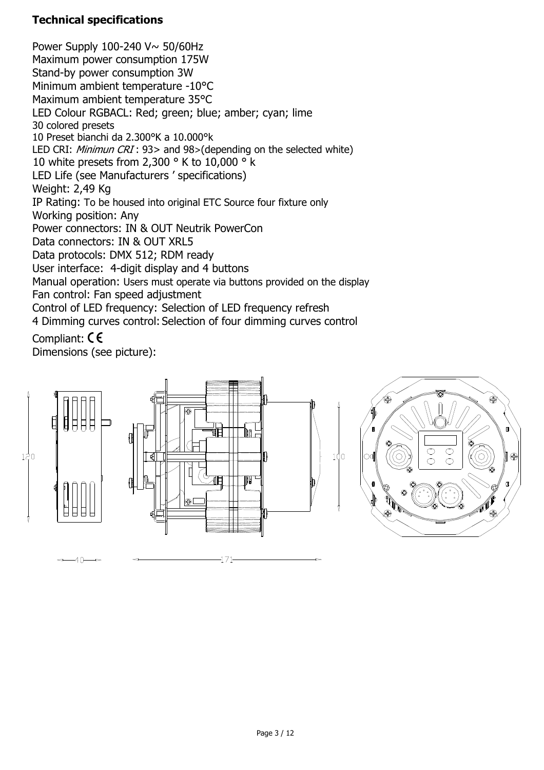# **Technical specifications**

Power Supply 100-240 V~ 50/60Hz Maximum power consumption 175W Stand-by power consumption 3W Minimum ambient temperature -10°C Maximum ambient temperature 35°C LED Colour RGBACL: Red; green; blue; amber; cyan; lime 30 colored presets 10 Preset bianchi da 2.300°K a 10.000°k LED CRI: Minimun CRI: 93> and 98>(depending on the selected white) 10 white presets from 2,300 ° K to 10,000 ° k LED Life (see Manufacturers ' specifications) Weight: 2,49 Kg IP Rating: To be housed into original ETC Source four fixture only Working position: Any Power connectors: IN & OUT Neutrik PowerCon Data connectors: IN & OUT XRL5 Data protocols: DMX 512; RDM ready User interface: 4-digit display and 4 buttons Manual operation: Users must operate via buttons provided on the display Fan control: Fan speed adjustment Control of LED frequency: Selection of LED frequency refresh 4 Dimming curves control: Selection of four dimming curves control

# Compliant: CE

Dimensions (see picture):

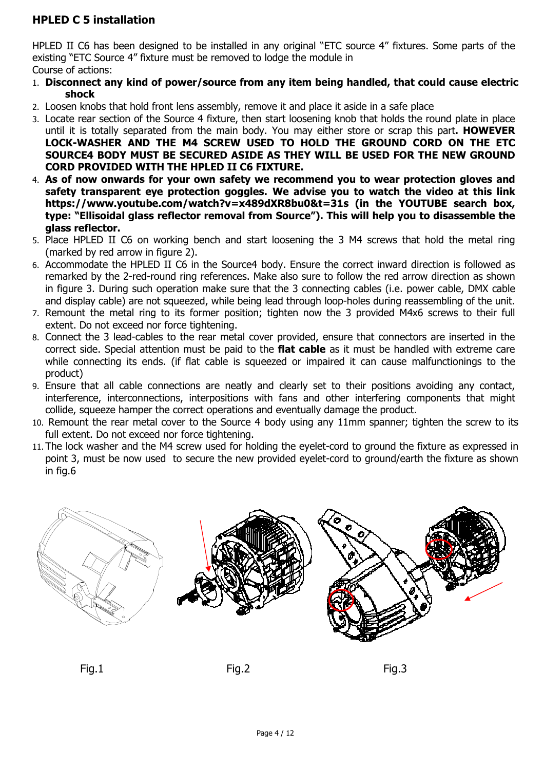#### **HPLED C 5 installation**

HPLED II C6 has been designed to be installed in any original "ETC source 4" fixtures. Some parts of the existing "ETC Source 4" fixture must be removed to lodge the module in Course of actions:

- 1. **Disconnect any kind of power/source from any item being handled, that could cause electric shock**
- 2. Loosen knobs that hold front lens assembly, remove it and place it aside in a safe place
- 3. Locate rear section of the Source 4 fixture, then start loosening knob that holds the round plate in place until it is totally separated from the main body. You may either store or scrap this part**. HOWEVER LOCK-WASHER AND THE M4 SCREW USED TO HOLD THE GROUND CORD ON THE ETC SOURCE4 BODY MUST BE SECURED ASIDE AS THEY WILL BE USED FOR THE NEW GROUND CORD PROVIDED WITH THE HPLED II C6 FIXTURE.**
- 4. **As of now onwards for your own safety we recommend you to wear protection gloves and safety transparent eye protection goggles. We advise you to watch the video at this link https://www.youtube.com/watch?v=x489dXR8bu0&t=31s (in the YOUTUBE search box, type: "Ellisoidal glass reflector removal from Source"). This will help you to disassemble the glass reflector.**
- 5. Place HPLED II C6 on working bench and start loosening the 3 M4 screws that hold the metal ring (marked by red arrow in figure 2).
- 6. Accommodate the HPLED II C6 in the Source4 body. Ensure the correct inward direction is followed as remarked by the 2-red-round ring references. Make also sure to follow the red arrow direction as shown in figure 3. During such operation make sure that the 3 connecting cables (i.e. power cable, DMX cable and display cable) are not squeezed, while being lead through loop-holes during reassembling of the unit.
- 7. Remount the metal ring to its former position; tighten now the 3 provided M4x6 screws to their full extent. Do not exceed nor force tightening.
- 8. Connect the 3 lead-cables to the rear metal cover provided, ensure that connectors are inserted in the correct side. Special attention must be paid to the **flat cable** as it must be handled with extreme care while connecting its ends. (if flat cable is squeezed or impaired it can cause malfunctionings to the product)
- 9. Ensure that all cable connections are neatly and clearly set to their positions avoiding any contact, interference, interconnections, interpositions with fans and other interfering components that might collide, squeeze hamper the correct operations and eventually damage the product.
- 10. Remount the rear metal cover to the Source 4 body using any 11mm spanner; tighten the screw to its full extent. Do not exceed nor force tightening.
- 11.The lock washer and the M4 screw used for holding the eyelet-cord to ground the fixture as expressed in point 3, must be now used to secure the new provided eyelet-cord to ground/earth the fixture as shown in fig.6



Fig.1 Fig.2 Fig.3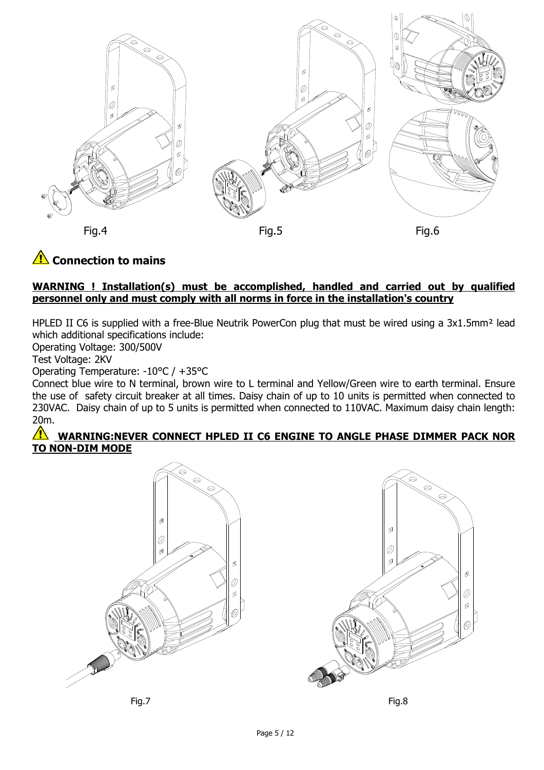

# **AL** Connection to mains

#### **WARNING ! Installation(s) must be accomplished, handled and carried out by qualified personnel only and must comply with all norms in force in the installation's country**

HPLED II C6 is supplied with a free-Blue Neutrik PowerCon plug that must be wired using a 3x1.5mm<sup>2</sup> lead which additional specifications include:

Operating Voltage: 300/500V

Test Voltage: 2KV

Operating Temperature: -10°C / +35°C

Connect blue wire to N terminal, brown wire to L terminal and Yellow/Green wire to earth terminal. Ensure the use of safety circuit breaker at all times. Daisy chain of up to 10 units is permitted when connected to 230VAC. Daisy chain of up to 5 units is permitted when connected to 110VAC. Maximum daisy chain length: 20m.

#### **WARNING:NEVER CONNECT HPLED II C6 ENGINE TO ANGLE PHASE DIMMER PACK NOR TO NON-DIM MODE**



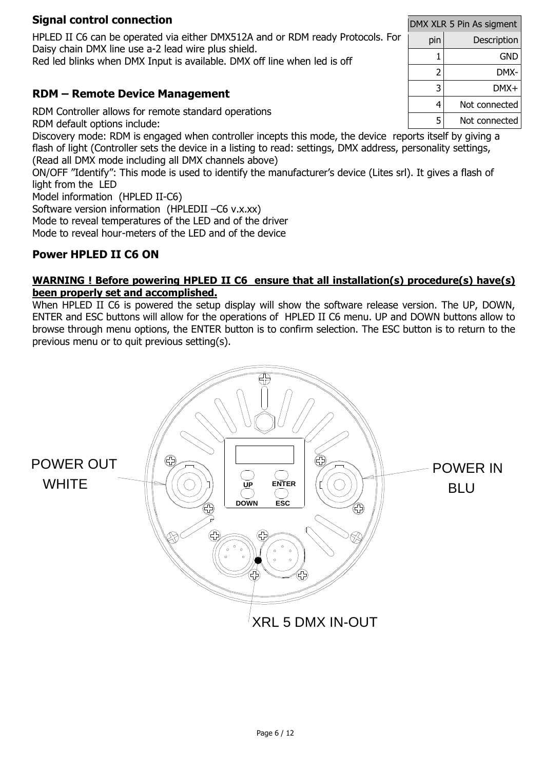#### **Signal control connection**

HPLED II C6 can be operated via either DMX512A and or RDM ready Protocols. For Daisy chain DMX line use a-2 lead wire plus shield.

Red led blinks when DMX Input is available. DMX off line when led is off

# **RDM – Remote Device Management**

RDM Controller allows for remote standard operations RDM default options include:

Discovery mode: RDM is engaged when controller incepts this mode, the device reports itself by giving a flash of light (Controller sets the device in a listing to read: settings, DMX address, personality settings, (Read all DMX mode including all DMX channels above)

ON/OFF "Identify": This mode is used to identify the manufacturer's device (Lites srl). It gives a flash of light from the LED

Model information (HPLED II-C6)

Software version information (HPLEDII –C6 v.x.xx) Mode to reveal temperatures of the LED and of the driver Mode to reveal hour-meters of the LED and of the device

# **Power HPLED II C6 ON**

#### **WARNING ! Before powering HPLED II C6 ensure that all installation(s) procedure(s) have(s) been properly set and accomplished.**

When HPLED II C6 is powered the setup display will show the software release version. The UP, DOWN, ENTER and ESC buttons will allow for the operations of HPLED II C6 menu. UP and DOWN buttons allow to browse through menu options, the ENTER button is to confirm selection. The ESC button is to return to the previous menu or to quit previous setting(s).



|    | DMX XLR 5 Pin As sigment |               |  |  |  |
|----|--------------------------|---------------|--|--|--|
| ١r | pin                      | Description   |  |  |  |
|    | 1                        | GND           |  |  |  |
|    | 2                        | DMX-          |  |  |  |
|    | 3                        | DMX+          |  |  |  |
|    | 4                        | Not connected |  |  |  |
|    | 5                        | Not connected |  |  |  |
|    |                          |               |  |  |  |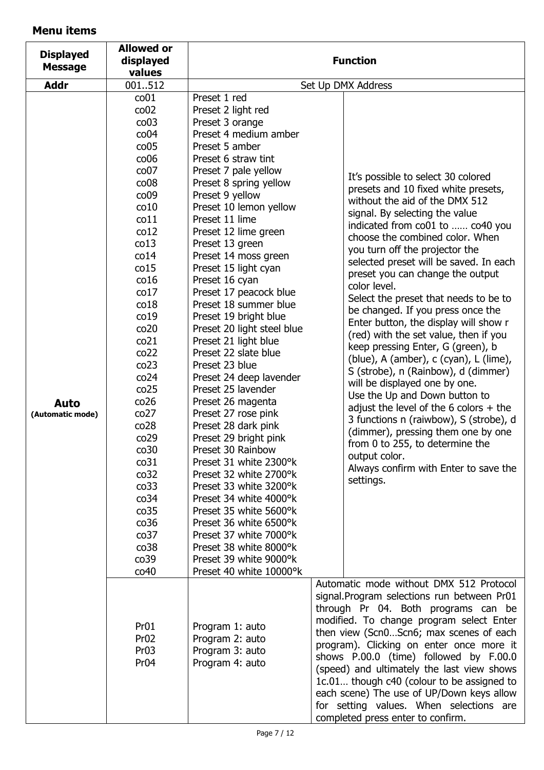# **Menu items**

| <b>Displayed</b><br><b>Message</b> | <b>Allowed or</b><br>displayed<br>values                                                                                                                                                                                                                                                                                                                                                                                                                       | <b>Function</b>                                                                                                                                                                                                                                                                                                                                                                                                                                                                                                                                                                                                                                                                                                                                                                                                                                                                                                                               |                                                                                                                                                                                                                                                                                                                                                                                                                                                                                                                                                                                                                                                                                                                                                                                                                                                                                                                                                    |  |
|------------------------------------|----------------------------------------------------------------------------------------------------------------------------------------------------------------------------------------------------------------------------------------------------------------------------------------------------------------------------------------------------------------------------------------------------------------------------------------------------------------|-----------------------------------------------------------------------------------------------------------------------------------------------------------------------------------------------------------------------------------------------------------------------------------------------------------------------------------------------------------------------------------------------------------------------------------------------------------------------------------------------------------------------------------------------------------------------------------------------------------------------------------------------------------------------------------------------------------------------------------------------------------------------------------------------------------------------------------------------------------------------------------------------------------------------------------------------|----------------------------------------------------------------------------------------------------------------------------------------------------------------------------------------------------------------------------------------------------------------------------------------------------------------------------------------------------------------------------------------------------------------------------------------------------------------------------------------------------------------------------------------------------------------------------------------------------------------------------------------------------------------------------------------------------------------------------------------------------------------------------------------------------------------------------------------------------------------------------------------------------------------------------------------------------|--|
| <b>Addr</b>                        | 001512                                                                                                                                                                                                                                                                                                                                                                                                                                                         | Set Up DMX Address                                                                                                                                                                                                                                                                                                                                                                                                                                                                                                                                                                                                                                                                                                                                                                                                                                                                                                                            |                                                                                                                                                                                                                                                                                                                                                                                                                                                                                                                                                                                                                                                                                                                                                                                                                                                                                                                                                    |  |
| <b>Auto</b><br>(Automatic mode)    | co <sub>01</sub><br>$\cos 02$<br>$\cos$<br>co <sub>04</sub><br>$\cos 05$<br>c <sub>006</sub><br>co07<br>$\cos$<br>$\cos 9$<br>co10<br>co11<br>co12<br>co13<br>co14<br>co15<br>co16<br>co17<br>co18<br>co19<br>co <sub>20</sub><br>co <sub>21</sub><br>co22<br>co23<br>co <sub>24</sub><br>co25<br>co26<br>co27<br>co28<br>co29<br>co30<br>co31<br>co <sub>32</sub><br>co <sub>33</sub><br>co <sub>34</sub><br>co35<br>co36<br>co <sub>37</sub><br>co38<br>co39 | Preset 1 red<br>Preset 2 light red<br>Preset 3 orange<br>Preset 4 medium amber<br>Preset 5 amber<br>Preset 6 straw tint<br>Preset 7 pale yellow<br>Preset 8 spring yellow<br>Preset 9 yellow<br>Preset 10 lemon yellow<br>Preset 11 lime<br>Preset 12 lime green<br>Preset 13 green<br>Preset 14 moss green<br>Preset 15 light cyan<br>Preset 16 cyan<br>Preset 17 peacock blue<br>Preset 18 summer blue<br>Preset 19 bright blue<br>Preset 20 light steel blue<br>Preset 21 light blue<br>Preset 22 slate blue<br>Preset 23 blue<br>Preset 24 deep lavender<br>Preset 25 lavender<br>Preset 26 magenta<br>Preset 27 rose pink<br>Preset 28 dark pink<br>Preset 29 bright pink<br>Preset 30 Rainbow<br>Preset 31 white 2300°k<br>Preset 32 white 2700°k<br>Preset 33 white 3200°k<br>Preset 34 white 4000°k<br>Preset 35 white 5600°k<br>Preset 36 white 6500°k<br>Preset 37 white 7000°k<br>Preset 38 white 8000°k<br>Preset 39 white 9000°k | It's possible to select 30 colored<br>presets and 10 fixed white presets,<br>without the aid of the DMX 512<br>signal. By selecting the value<br>indicated from co01 to  co40 you<br>choose the combined color. When<br>you turn off the projector the<br>selected preset will be saved. In each<br>preset you can change the output<br>color level.<br>Select the preset that needs to be to<br>be changed. If you press once the<br>Enter button, the display will show r<br>(red) with the set value, then if you<br>keep pressing Enter, G (green), b<br>(blue), A (amber), c (cyan), L (lime),<br>S (strobe), n (Rainbow), d (dimmer)<br>will be displayed one by one.<br>Use the Up and Down button to<br>adjust the level of the 6 colors $+$ the<br>3 functions n (raiwbow), S (strobe), d<br>(dimmer), pressing them one by one<br>from 0 to 255, to determine the<br>output color.<br>Always confirm with Enter to save the<br>settings. |  |
|                                    | co40<br>Pr <sub>01</sub><br>Pr <sub>02</sub><br>Pr <sub>03</sub><br>Pr <sub>04</sub>                                                                                                                                                                                                                                                                                                                                                                           | Preset 40 white 10000°k<br>Program 1: auto<br>Program 2: auto<br>Program 3: auto<br>Program 4: auto                                                                                                                                                                                                                                                                                                                                                                                                                                                                                                                                                                                                                                                                                                                                                                                                                                           | Automatic mode without DMX 512 Protocol<br>signal. Program selections run between Pr01<br>through Pr 04. Both programs can be<br>modified. To change program select Enter<br>then view (Scn0Scn6; max scenes of each<br>program). Clicking on enter once more it<br>shows P.00.0 (time) followed by F.00.0<br>(speed) and ultimately the last view shows<br>1c.01 though c40 (colour to be assigned to<br>each scene) The use of UP/Down keys allow<br>for setting values. When selections are<br>completed press enter to confirm.                                                                                                                                                                                                                                                                                                                                                                                                                |  |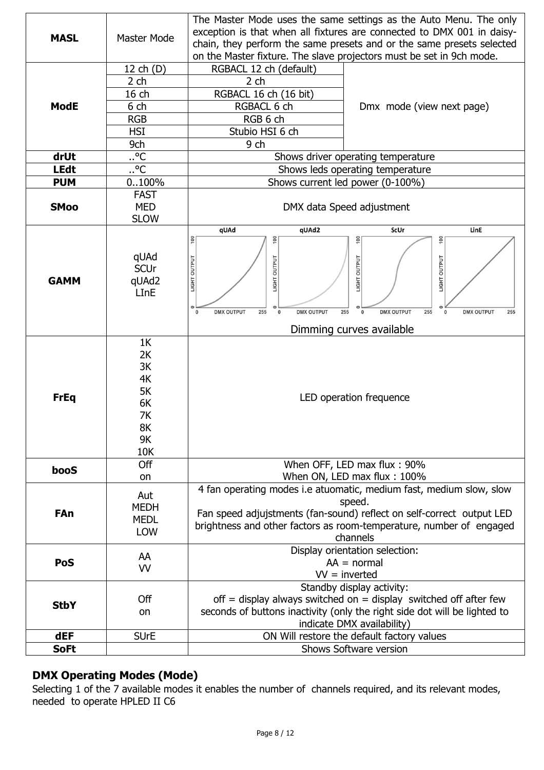|             |                  | The Master Mode uses the same settings as the Auto Menu. The only                                                                                             |  |  |  |
|-------------|------------------|---------------------------------------------------------------------------------------------------------------------------------------------------------------|--|--|--|
| <b>MASL</b> | Master Mode      | exception is that when all fixtures are connected to DMX 001 in daisy-                                                                                        |  |  |  |
|             |                  | chain, they perform the same presets and or the same presets selected                                                                                         |  |  |  |
|             |                  | on the Master fixture. The slave projectors must be set in 9ch mode.                                                                                          |  |  |  |
|             | 12 ch (D)        | RGBACL 12 ch (default)                                                                                                                                        |  |  |  |
|             | $2$ ch           | 2 <sub>ch</sub>                                                                                                                                               |  |  |  |
|             | 16 ch            | RGBACL 16 ch (16 bit)                                                                                                                                         |  |  |  |
| <b>ModE</b> | 6 ch             | RGBACL 6 ch<br>Dmx mode (view next page)                                                                                                                      |  |  |  |
|             | <b>RGB</b>       | RGB 6 ch                                                                                                                                                      |  |  |  |
|             | <b>HSI</b>       | Stubio HSI 6 ch                                                                                                                                               |  |  |  |
|             | 9ch              | 9 ch                                                                                                                                                          |  |  |  |
| drUt        | $. \n^{\circ}$ C | Shows driver operating temperature                                                                                                                            |  |  |  |
| <b>LEdt</b> | $\overline{C}$   | Shows leds operating temperature                                                                                                                              |  |  |  |
| <b>PUM</b>  | 0.100%           | Shows current led power (0-100%)                                                                                                                              |  |  |  |
|             | <b>FAST</b>      |                                                                                                                                                               |  |  |  |
| <b>SMoo</b> | <b>MED</b>       | DMX data Speed adjustment                                                                                                                                     |  |  |  |
|             | <b>SLOW</b>      |                                                                                                                                                               |  |  |  |
|             |                  | qUAd<br>qUAd2<br>ScUr<br>LinE                                                                                                                                 |  |  |  |
|             |                  | 100<br>$\frac{0}{100}$<br>$\frac{100}{2}$<br>$\frac{00}{1}$                                                                                                   |  |  |  |
|             | qUAd             |                                                                                                                                                               |  |  |  |
|             | <b>SCUr</b>      | <b>OUTPUT</b>                                                                                                                                                 |  |  |  |
| <b>GAMM</b> | qUAd2            | LIGHT OUTPUT<br>LIGHT OUTPUT<br>LIGHT OUTPUT<br>LIGHT                                                                                                         |  |  |  |
|             | LInE             |                                                                                                                                                               |  |  |  |
|             |                  |                                                                                                                                                               |  |  |  |
|             |                  | <b>DMX OUTPUT</b><br>255<br><b>DMX OUTPUT</b><br>255<br><b>DMX OUTPUT</b><br>255<br><b>DMX OUTPUT</b><br>$\pmb{0}$<br>$\bf{0}$<br>255<br>$\Omega$<br>$\bf{0}$ |  |  |  |
|             |                  | Dimming curves available                                                                                                                                      |  |  |  |
|             | 1K               |                                                                                                                                                               |  |  |  |
|             | 2K               |                                                                                                                                                               |  |  |  |
|             | 3K               |                                                                                                                                                               |  |  |  |
|             | 4K               |                                                                                                                                                               |  |  |  |
| <b>FrEq</b> | 5K               | LED operation frequence                                                                                                                                       |  |  |  |
|             | 6K               |                                                                                                                                                               |  |  |  |
|             | 7K               |                                                                                                                                                               |  |  |  |
|             | 8K               |                                                                                                                                                               |  |  |  |
|             | 9K               |                                                                                                                                                               |  |  |  |
|             | 10K              |                                                                                                                                                               |  |  |  |
| booS        | Off              | When OFF, LED max flux: 90%                                                                                                                                   |  |  |  |
|             | on               | When ON, LED max flux: 100%                                                                                                                                   |  |  |  |
|             | Aut              | 4 fan operating modes i.e atuomatic, medium fast, medium slow, slow                                                                                           |  |  |  |
|             | <b>MEDH</b>      | speed.                                                                                                                                                        |  |  |  |
| FAn         | <b>MEDL</b>      | Fan speed adjujstments (fan-sound) reflect on self-correct output LED                                                                                         |  |  |  |
|             | LOW              | brightness and other factors as room-temperature, number of engaged                                                                                           |  |  |  |
|             |                  | channels                                                                                                                                                      |  |  |  |
|             | AA               | Display orientation selection:                                                                                                                                |  |  |  |
| <b>PoS</b>  | <b>VV</b>        | $AA = normal$<br>$VV =$ inverted                                                                                                                              |  |  |  |
|             |                  | Standby display activity:                                                                                                                                     |  |  |  |
|             | Off              | off = display always switched on = display switched off after few                                                                                             |  |  |  |
| <b>StbY</b> |                  |                                                                                                                                                               |  |  |  |
|             | on               | seconds of buttons inactivity (only the right side dot will be lighted to                                                                                     |  |  |  |
| <b>dEF</b>  | <b>SUrE</b>      | indicate DMX availability)<br>ON Will restore the default factory values                                                                                      |  |  |  |
| <b>SoFt</b> |                  |                                                                                                                                                               |  |  |  |
|             |                  | Shows Software version                                                                                                                                        |  |  |  |

# **DMX Operating Modes (Mode)**

Selecting 1 of the 7 available modes it enables the number of channels required, and its relevant modes, needed to operate HPLED II C6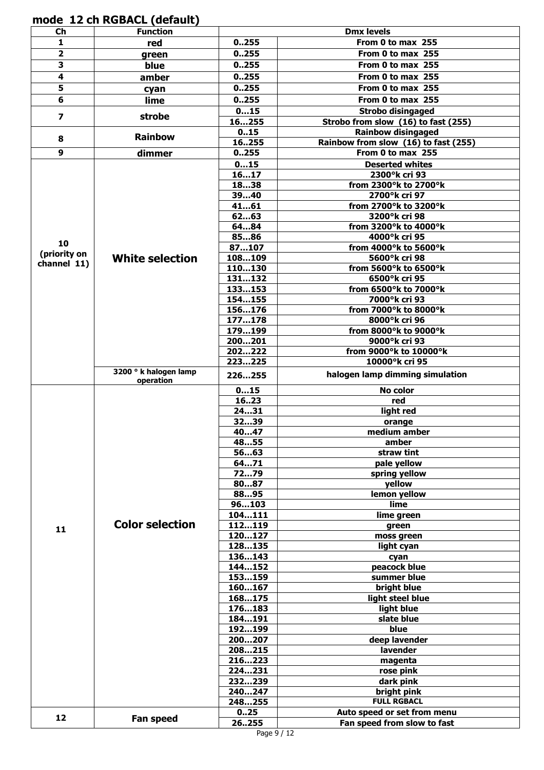**mode 12 ch RGBACL (default)** 

| $ch$                    | <b>Function</b>                    |                  | <b>Dmx levels</b>                      |
|-------------------------|------------------------------------|------------------|----------------------------------------|
| 1                       | red                                | 0.255            | From 0 to max 255                      |
| 2                       | green                              | 0.255            | From 0 to max 255                      |
| 3                       | blue                               | 0.255            | From 0 to max 255                      |
| 4                       | amber                              | 0.255            | From 0 to max 255                      |
| $\overline{\mathbf{5}}$ | cyan                               | 0.255            | From 0 to max 255                      |
| 6                       | lime                               | 0.255            | From 0 to max 255                      |
|                         | strobe                             | 015              | <b>Strobo disingaged</b>               |
| $\overline{\mathbf{z}}$ |                                    | 16255            | Strobo from slow (16) to fast (255)    |
| 8                       | <b>Rainbow</b>                     | 015              | <b>Rainbow disingaged</b>              |
|                         |                                    | 16255            | Rainbow from slow (16) to fast (255)   |
| $\boldsymbol{9}$        | dimmer                             | 0.255            | From 0 to max 255                      |
|                         |                                    | 015              | <b>Deserted whites</b>                 |
|                         |                                    | 1617<br>1838     | 2300°k cri 93                          |
|                         |                                    | 3940             | from 2300°k to 2700°k<br>2700°k cri 97 |
|                         |                                    | 4161             | from 2700°k to 3200°k                  |
|                         |                                    | 6263             | 3200°k cri 98                          |
|                         |                                    | 6484             | from 3200°k to 4000°k                  |
|                         |                                    | 8586             | 4000°k cri 95                          |
| 10                      |                                    | 87107            | from 4000°k to 5600°k                  |
| (priority on            | <b>White selection</b>             | 108109           | 5600°k cri 98                          |
| channel 11)             |                                    | 110130           | from 5600°k to 6500°k                  |
|                         |                                    | 131132           | 6500°k cri 95                          |
|                         |                                    | 133153           | from 6500°k to 7000°k                  |
|                         |                                    | 154155           | 7000°k cri 93                          |
|                         |                                    | 156176           | from 7000°k to 8000°k                  |
|                         |                                    | 177178<br>179199 | 8000°k cri 96<br>from 8000°k to 9000°k |
|                         |                                    | 200201           | 9000°k cri 93                          |
|                         |                                    | 202222           | from 9000°k to 10000°k                 |
|                         |                                    | 223225           | 10000°k cri 95                         |
|                         | 3200 ° k halogen lamp<br>operation | 226255           | halogen lamp dimming simulation        |
|                         |                                    | 015              | No color                               |
|                         |                                    | 1623             | red                                    |
|                         |                                    | 2431             | light red                              |
|                         |                                    | 3239             | orange                                 |
|                         |                                    | 4047             | medium amber<br>amber                  |
|                         |                                    | 4855<br>5663     | straw tint                             |
|                         |                                    | 6471             | pale yellow                            |
|                         |                                    | 7279             | spring yellow                          |
|                         | <b>Color selection</b>             | 8087             | yellow                                 |
|                         |                                    | 8895             | lemon yellow                           |
|                         |                                    | 96103            | lime                                   |
|                         |                                    | 104111           | lime green                             |
| 11                      |                                    | 112119           | green                                  |
|                         |                                    | 120127           | moss green                             |
|                         |                                    | 128135<br>136143 | light cyan                             |
|                         |                                    | 144152           | cyan<br>peacock blue                   |
|                         |                                    | 153159           | summer blue                            |
|                         |                                    | 160167           | bright blue                            |
|                         |                                    | 168175           | light steel blue                       |
|                         |                                    | 176183           | light blue                             |
|                         |                                    | 184191           | slate blue                             |
|                         |                                    | 192199           | blue                                   |
|                         |                                    | 200207           | deep lavender                          |
|                         |                                    | 208215           | lavender                               |
|                         |                                    | 216223           | magenta                                |
|                         |                                    | 224231<br>232239 | rose pink<br>dark pink                 |
|                         |                                    | 240247           | bright pink                            |
|                         |                                    | 248255           | <b>FULL RGBACL</b>                     |
|                         |                                    | 025              | Auto speed or set from menu            |
| 12                      | Fan speed                          | 26255            | Fan speed from slow to fast            |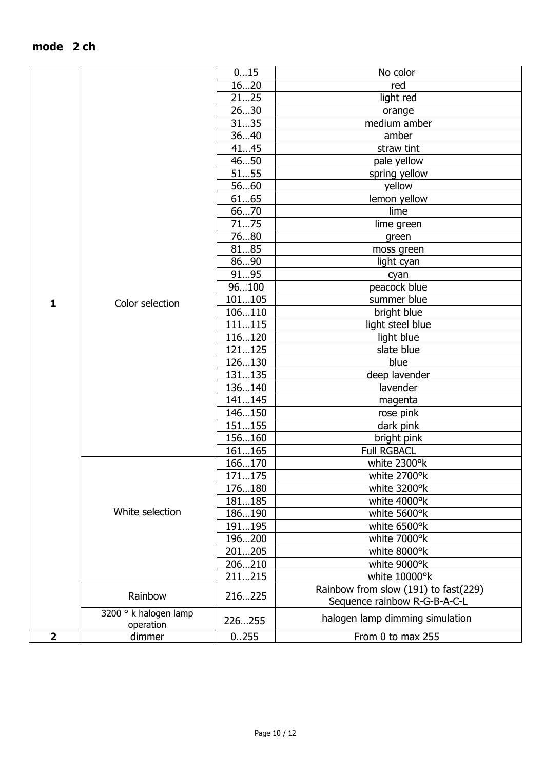|              |                       | 015    | No color                             |
|--------------|-----------------------|--------|--------------------------------------|
|              |                       | 1620   | red                                  |
|              |                       | 2125   | light red                            |
|              |                       | 2630   | orange                               |
|              |                       | 3135   | medium amber                         |
|              |                       | 3640   | amber                                |
|              |                       | 4145   | straw tint                           |
|              |                       | 4650   | pale yellow                          |
|              |                       | 5155   | spring yellow                        |
|              |                       | 5660   | yellow                               |
|              |                       | 6165   | lemon yellow                         |
|              |                       | 6670   | lime                                 |
|              |                       | 7175   | lime green                           |
|              |                       | 7680   |                                      |
|              |                       | 8185   | green                                |
|              |                       |        | moss green                           |
|              |                       | 8690   | light cyan                           |
|              |                       | 9195   | cyan                                 |
|              |                       | 96100  | peacock blue                         |
| $\mathbf{1}$ | Color selection       | 101105 | summer blue                          |
|              |                       | 106110 | bright blue                          |
|              |                       | 111115 | light steel blue                     |
|              |                       | 116120 | light blue                           |
|              |                       | 121125 | slate blue                           |
|              |                       | 126130 | blue                                 |
|              |                       | 131135 | deep lavender                        |
|              |                       | 136140 | lavender                             |
|              |                       | 141145 | magenta                              |
|              |                       | 146150 | rose pink                            |
|              |                       | 151155 | dark pink                            |
|              |                       | 156160 | bright pink                          |
|              |                       | 161165 | <b>Full RGBACL</b>                   |
|              |                       | 166170 | white 2300°k                         |
|              |                       | 171175 | white 2700°k                         |
|              |                       | 176180 | white 3200°k                         |
|              |                       | 181185 | white 4000°k                         |
|              | White selection       | 186190 | white 5600°k                         |
|              |                       | 191195 | white 6500°k                         |
|              |                       | 196200 | white 7000°k                         |
|              |                       | 201205 | white 8000°k                         |
|              |                       | 206210 | white 9000°k                         |
|              |                       |        |                                      |
|              |                       | 211215 | white 10000°k                        |
|              | Rainbow               | 216225 | Rainbow from slow (191) to fast(229) |
|              |                       |        | Sequence rainbow R-G-B-A-C-L         |
|              | 3200 ° k halogen lamp | 226255 | halogen lamp dimming simulation      |
| $\mathbf 2$  | operation<br>dimmer   | 0.255  | From 0 to max 255                    |
|              |                       |        |                                      |

# **mode 2 ch**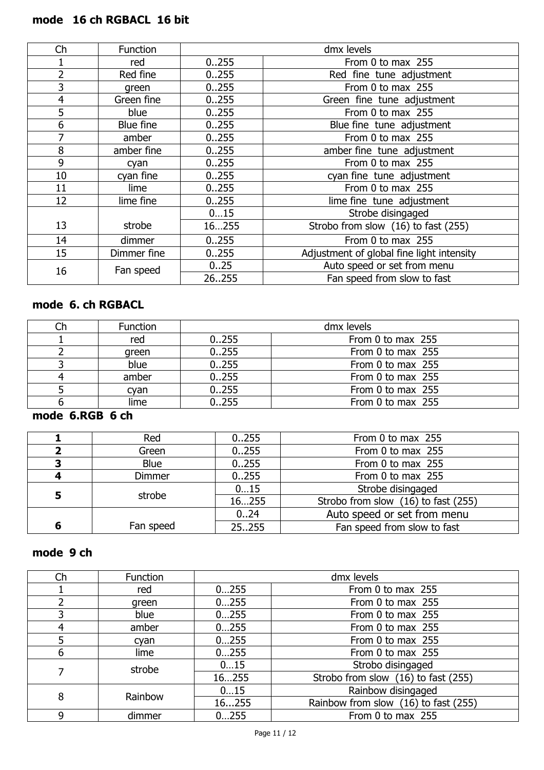# **mode 16 ch RGBACL 16 bit**

| Ch             | Function    |        | dmx levels                                |
|----------------|-------------|--------|-------------------------------------------|
|                | red         | 0.255  | From 0 to max 255                         |
| 2              | Red fine    | 0.255  | Red fine tune adjustment                  |
| 3              | green       | 0.0255 | From 0 to max 255                         |
| $\overline{4}$ | Green fine  | 0.255  | Green fine tune adjustment                |
| 5              | blue        | 0.255  | From 0 to max 255                         |
| 6              | Blue fine   | 0.255  | Blue fine tune adjustment                 |
| 7              | amber       | 0.255  | From 0 to max 255                         |
| 8              | amber fine  | 0.255  | amber fine tune adjustment                |
| 9              | cyan        | 0.255  | From 0 to max 255                         |
| 10             | cyan fine   | 0.255  | cyan fine tune adjustment                 |
| 11             | lime        | 0.255  | From 0 to max 255                         |
| 12             | lime fine   | 0.255  | lime fine tune adjustment                 |
|                |             | 015    | Strobe disingaged                         |
| 13             | strobe      | 16255  | Strobo from slow (16) to fast (255)       |
| 14             | dimmer      | 0.255  | From 0 to max 255                         |
| 15             | Dimmer fine | 0.0255 | Adjustment of global fine light intensity |
| 16             | Fan speed   | 0.25   | Auto speed or set from menu               |
|                |             | 26255  | Fan speed from slow to fast               |

# **mode 6. ch RGBACL**

| <b>Function</b> |        | dmx levels        |
|-----------------|--------|-------------------|
| red             | 0.255  | From 0 to max 255 |
| green           | 0.255  | From 0 to max 255 |
| blue            | 0.255  | From 0 to max 255 |
| amber           | 0.255  | From 0 to max 255 |
| cyan            | 0.255  | From 0 to max 255 |
| lime            | 0.0255 | From 0 to max 255 |

### **mode 6.RGB 6 ch**

|   | Red           | 0.255  | From 0 to max 255                   |
|---|---------------|--------|-------------------------------------|
| 2 | Green         | 0.0255 | From 0 to max 255                   |
| 3 | <b>Blue</b>   | 0.255  | From 0 to max 255                   |
| 4 | <b>Dimmer</b> | 0.255  | From 0 to max 255                   |
| 5 | strobe        | 015    | Strobe disingaged                   |
|   |               | 16255  | Strobo from slow (16) to fast (255) |
|   |               | 024    | Auto speed or set from menu         |
| 6 | Fan speed     | 25255  | Fan speed from slow to fast         |
|   |               |        |                                     |

# **mode 9 ch**

| Ch | <b>Function</b> |       | dmx levels                           |
|----|-----------------|-------|--------------------------------------|
|    | red             | 0255  | From 0 to max 255                    |
|    | green           | 0255  | From 0 to max 255                    |
|    | blue            | 0255  | From 0 to max 255                    |
|    | amber           | 0255  | From 0 to max 255                    |
|    | cyan            | 0255  | From 0 to max 255                    |
| 6  | lime            | 0255  | From 0 to max 255                    |
|    | strobe          | 015   | Strobo disingaged                    |
|    |                 | 16255 | Strobo from slow (16) to fast (255)  |
| 8  | Rainbow         | 015   | Rainbow disingaged                   |
|    |                 | 16255 | Rainbow from slow (16) to fast (255) |
| 9  | dimmer          | 0255  | From 0 to max 255                    |